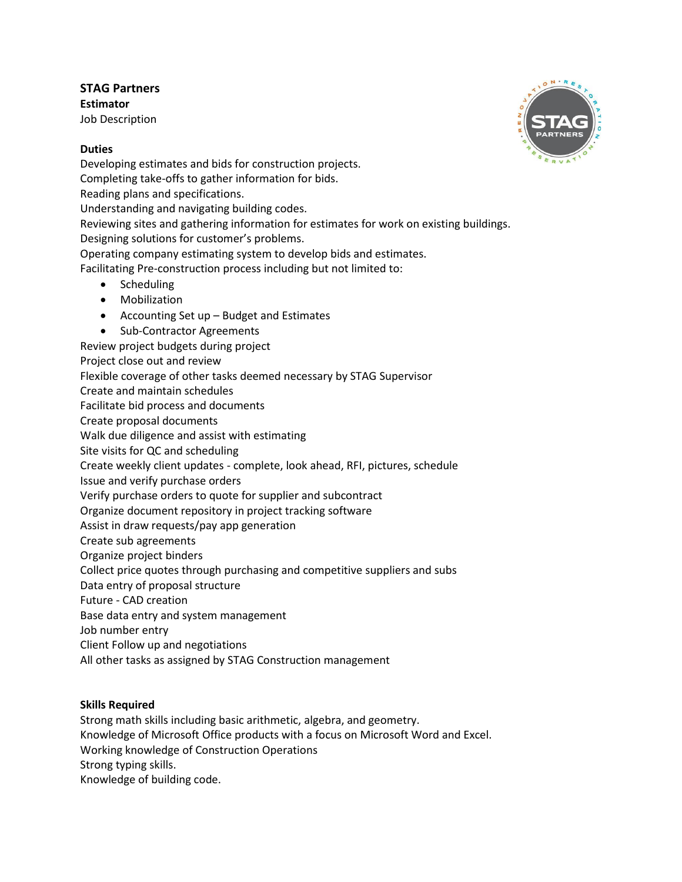**STAG Partners Estimator** Job Description

## **Duties**

Developing estimates and bids for construction projects. Completing take-offs to gather information for bids. Reading plans and specifications. Understanding and navigating building codes. Reviewing sites and gathering information for estimates for work on existing buildings. Designing solutions for customer's problems. Operating company estimating system to develop bids and estimates.

Facilitating Pre-construction process including but not limited to:

- Scheduling
- Mobilization
- Accounting Set up Budget and Estimates
- Sub-Contractor Agreements
- Review project budgets during project
- Project close out and review
- Flexible coverage of other tasks deemed necessary by STAG Supervisor
- Create and maintain schedules

Facilitate bid process and documents

Create proposal documents

Walk due diligence and assist with estimating

Site visits for QC and scheduling

Create weekly client updates - complete, look ahead, RFI, pictures, schedule

Issue and verify purchase orders

Verify purchase orders to quote for supplier and subcontract

Organize document repository in project tracking software

Assist in draw requests/pay app generation

Create sub agreements

Organize project binders

Collect price quotes through purchasing and competitive suppliers and subs

Data entry of proposal structure

Future - CAD creation

Base data entry and system management

Job number entry

Client Follow up and negotiations

All other tasks as assigned by STAG Construction management

## **Skills Required**

Strong math skills including basic arithmetic, algebra, and geometry.

Knowledge of Microsoft Office products with a focus on Microsoft Word and Excel.

Working knowledge of Construction Operations

Strong typing skills.

Knowledge of building code.